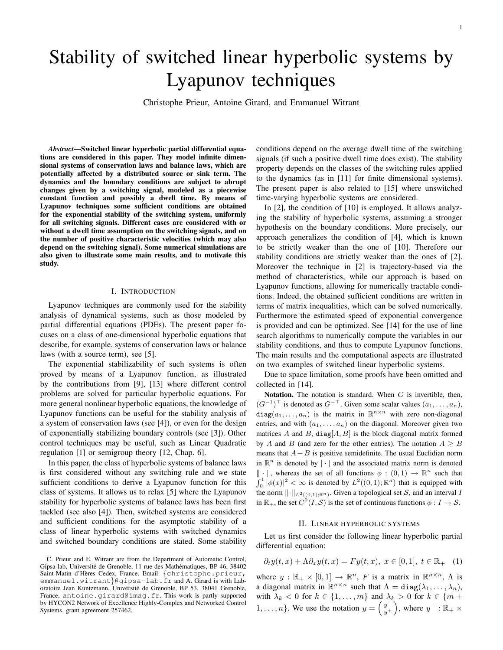# Stability of switched linear hyperbolic systems by Lyapunov techniques

Christophe Prieur, Antoine Girard, and Emmanuel Witrant

*Abstract*—Switched linear hyperbolic partial differential equations are considered in this paper. They model infinite dimensional systems of conservation laws and balance laws, which are potentially affected by a distributed source or sink term. The dynamics and the boundary conditions are subject to abrupt changes given by a switching signal, modeled as a piecewise constant function and possibly a dwell time. By means of Lyapunov techniques some sufficient conditions are obtained for the exponential stability of the switching system, uniformly for all switching signals. Different cases are considered with or without a dwell time assumption on the switching signals, and on the number of positive characteristic velocities (which may also depend on the switching signal). Some numerical simulations are also given to illustrate some main results, and to motivate this study.

## I. INTRODUCTION

Lyapunov techniques are commonly used for the stability analysis of dynamical systems, such as those modeled by partial differential equations (PDEs). The present paper focuses on a class of one-dimensional hyperbolic equations that describe, for example, systems of conservation laws or balance laws (with a source term), see [5].

The exponential stabilizability of such systems is often proved by means of a Lyapunov function, as illustrated by the contributions from [9], [13] where different control problems are solved for particular hyperbolic equations. For more general nonlinear hyperbolic equations, the knowledge of Lyapunov functions can be useful for the stability analysis of a system of conservation laws (see [4]), or even for the design of exponentially stabilizing boundary controls (see [3]). Other control techniques may be useful, such as Linear Quadratic regulation [1] or semigroup theory [12, Chap. 6].

In this paper, the class of hyperbolic systems of balance laws is first considered without any switching rule and we state sufficient conditions to derive a Lyapunov function for this class of systems. It allows us to relax [5] where the Lyapunov stability for hyperbolic systems of balance laws has been first tackled (see also [4]). Then, switched systems are considered and sufficient conditions for the asymptotic stability of a class of linear hyperbolic systems with switched dynamics and switched boundary conditions are stated. Some stability conditions depend on the average dwell time of the switching signals (if such a positive dwell time does exist). The stability property depends on the classes of the switching rules applied to the dynamics (as in [11] for finite dimensional systems). The present paper is also related to [15] where unswitched time-varying hyperbolic systems are considered.

In [2], the condition of [10] is employed. It allows analyzing the stability of hyperbolic systems, assuming a stronger hypothesis on the boundary conditions. More precisely, our approach generalizes the condition of [4], which is known to be strictly weaker than the one of [10]. Therefore our stability conditions are strictly weaker than the ones of [2]. Moreover the technique in [2] is trajectory-based via the method of characteristics, while our approach is based on Lyapunov functions, allowing for numerically tractable conditions. Indeed, the obtained sufficient conditions are written in terms of matrix inequalities, which can be solved numerically. Furthermore the estimated speed of exponential convergence is provided and can be optimized. See [14] for the use of line search algorithms to numerically compute the variables in our stability conditions, and thus to compute Lyapunov functions. The main results and the computational aspects are illustrated on two examples of switched linear hyperbolic systems.

Due to space limitation, some proofs have been omitted and collected in [14].

Notation. The notation is standard. When  $G$  is invertible, then,  $(G^{-1})^{\top}$  is denoted as  $G^{-\top}$ . Given some scalar values  $(a_1, \ldots, a_n)$ , diag $(a_1, \ldots, a_n)$  is the matrix in  $\mathbb{R}^{n \times n}$  with zero non-diagonal entries, and with  $(a_1, \ldots, a_n)$  on the diagonal. Moreover given two matrices A and B,  $diag[A, B]$  is the block diagonal matrix formed by A and B (and zero for the other entries). The notation  $A \geq B$ means that  $A - B$  is positive semidefinite. The usual Euclidian norm in  $\mathbb{R}^n$  is denoted by  $|\cdot|$  and the associated matrix norm is denoted  $\|\cdot\|$ , whereas the set of all functions  $\phi : (0,1) \to \mathbb{R}^n$  such that  $\int_0^1 |\phi(x)|^2 < \infty$  is denoted by  $L^2((0,1); \mathbb{R}^n)$  that is equipped with the norm  $\lVert \cdot \rVert_{L^2((0,1);\mathbb{R}^n)}$ . Given a topological set S, and an interval I in  $\mathbb{R}_+$ , the set  $C^0(I, \mathcal{S})$  is the set of continuous functions  $\phi: I \to \mathcal{S}$ .

### II. LINEAR HYPERBOLIC SYSTEMS

Let us first consider the following linear hyperbolic partial differential equation:

$$
\partial_t y(t, x) + \Lambda \partial_x y(t, x) = F y(t, x), \ x \in [0, 1], \ t \in \mathbb{R}_+ \quad (1)
$$

where  $y : \mathbb{R}_+ \times [0,1] \to \mathbb{R}^n$ , F is a matrix in  $\mathbb{R}^{n \times n}$ ,  $\Lambda$  is a diagonal matrix in  $\mathbb{R}^{n \times n}$  such that  $\Lambda = \text{diag}(\lambda_1, \dots, \lambda_n)$ , with  $\lambda_k < 0$  for  $k \in \{1, \ldots, m\}$  and  $\lambda_k > 0$  for  $k \in \{m + 1\}$  $1, \ldots, n$ . We use the notation  $y = \begin{pmatrix} y^{-1} \\ y^{-1} \end{pmatrix}$  $y^{-}\n\begin{pmatrix} y^{-} \\ y^{+} \end{pmatrix}$ , where  $y^{-}$ :  $\mathbb{R}_{+} \times$ 

C. Prieur and E. Witrant are from the Department of Automatic Control, Gipsa-lab, Université de Grenoble, 11 rue des Mathématiques, BP 46, 38402 Saint-Matin d'Hères Cedex, France. Email: {christophe.prieur, emmanuel.witrant}@gipsa-lab.fr and A. Girard is with Laboratoire Jean Kuntzmann, Universite de Grenoble, BP 53, 38041 Grenoble, ´ France, antoine.girard@imag.fr. This work is partly supported by HYCON2 Network of Excellence Highly-Complex and Networked Control Systems, grant agreement 257462.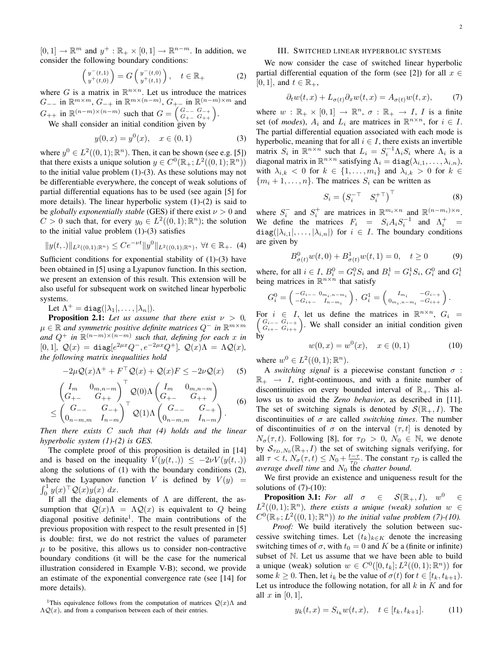$[0, 1] \rightarrow \mathbb{R}^m$  and  $y^+ : \mathbb{R}_+ \times [0, 1] \rightarrow \mathbb{R}^{n-m}$ . In addition, we consider the following boundary conditions:

$$
\begin{pmatrix} y^-(t,1) \\ y^+(t,0) \end{pmatrix} = G \begin{pmatrix} y^-(t,0) \\ y^+(t,1) \end{pmatrix}, \quad t \in \mathbb{R}_+ \tag{2}
$$

where G is a matrix in  $\mathbb{R}^{n \times n}$ . Let us introduce the matrices  $G_{--}$  in  $\mathbb{R}^{m \times m}$ ,  $G_{-+}$  in  $\mathbb{R}^{m \times (n-m)}$ ,  $G_{+-}$  in  $\mathbb{R}^{(n-m)\times m}$  and  $G_{++}$  in  $\mathbb{R}^{(n-m)\times(n-m)}$  such that  $G = \begin{pmatrix} G_{--} & G_{-+} \\ G_{+-} & G_{++} \end{pmatrix}$ .

We shall consider an initial condition given by

$$
y(0, x) = y^{0}(x), \quad x \in (0, 1)
$$
 (3)

where  $y^0 \in L^2((0,1); \mathbb{R}^n)$ . Then, it can be shown (see e.g. [5]) that there exists a unique solution  $y \in C^0(\mathbb{R}_+; L^2((0,1); \mathbb{R}^n))$ to the initial value problem (1)-(3). As these solutions may not be differentiable everywhere, the concept of weak solutions of partial differential equations has to be used (see again [5] for more details). The linear hyperbolic system (1)-(2) is said to be *globally exponentially stable* (GES) if there exist  $\nu > 0$  and  $C > 0$  such that, for every  $y_0 \in L^2((0,1); \mathbb{R}^n)$ ; the solution to the initial value problem (1)-(3) satisfies

$$
||y(t,.)||_{L^2((0,1);\mathbb{R}^n)} \le Ce^{-\nu t} ||y^0||_{L^2((0,1);\mathbb{R}^n)}, \ \forall t \in \mathbb{R}_+.
$$
 (4)

Sufficient conditions for exponential stability of (1)-(3) have been obtained in [5] using a Lyapunov function. In this section, we present an extension of this result. This extension will be also useful for subsequent work on switched linear hyperbolic systems.

Let  $\Lambda^+ = \texttt{diag}(|\lambda_1|,\ldots,|\lambda_n|).$ 

**Proposition 2.1:** Let us assume that there exist  $\nu > 0$ , µ ∈ R *and symmetric positive definite matrices* Q<sup>−</sup> *in* R m×m and  $Q^+$  in  $\mathbb{R}^{(n-m)\times (n-m)}$  such that, defining for each x in  $[0, 1]$ ,  $\mathcal{Q}(x) = \text{diag}[e^{2\mu x} Q^{-}, e^{-2\mu x} Q^{+}]$ ,  $\mathcal{Q}(x) \Lambda = \Lambda \mathcal{Q}(x)$ , *the following matrix inequalities hold*

$$
-2\mu \mathcal{Q}(x)\Lambda^{+} + F^{\top} \mathcal{Q}(x) + \mathcal{Q}(x)F \le -2\nu \mathcal{Q}(x)
$$
 (5)

$$
\begin{pmatrix}\nI_m & 0_{m,n-m} \\
G_{+-} & G_{++}\n\end{pmatrix}^\top \mathcal{Q}(0) \Lambda \begin{pmatrix}\nI_m & 0_{m,n-m} \\
G_{+-} & G_{++}\n\end{pmatrix}
$$
\n
$$
\leq \begin{pmatrix}\nG_{--} & G_{-+} \\
0_{n-m,m} & I_{n-m}\n\end{pmatrix}^\top \mathcal{Q}(1) \Lambda \begin{pmatrix}\nG_{--} & G_{-+} \\
0_{n-m,m} & I_{n-m}\n\end{pmatrix}.
$$
\n(6)

*Then there exists* C *such that (4) holds and the linear hyperbolic system (1)-(2) is GES.*

The complete proof of this proposition is detailed in [14] and is based on the inequality  $V(y(t, .)) \le -2\nu V(y(t, .))$ along the solutions of (1) with the boundary conditions (2), where the Lyapunov function V is defined by  $V(y) =$  $\int_0^1 y(x)^\top \mathcal{Q}(x)y(x) dx$ .

If all the diagonal elements of Λ are different, the assumption that  $Q(x)\Lambda = \Lambda Q(x)$  is equivalent to Q being diagonal positive definite<sup>1</sup>. The main contributions of the previous proposition with respect to the result presented in [5] is double: first, we do not restrict the values of parameter  $\mu$  to be positive, this allows us to consider non-contractive boundary conditions (it will be the case for the numerical illustration considered in Example V-B); second, we provide an estimate of the exponential convergence rate (see [14] for more details).

<sup>1</sup>This equivalence follows from the computation of matrices  $Q(x)$ Λ and  $\Lambda \mathcal{Q}(x)$ , and from a comparison between each of their entries.

## III. SWITCHED LINEAR HYPERBOLIC SYSTEMS

We now consider the case of switched linear hyperbolic partial differential equation of the form (see [2]) for all  $x \in$ [0, 1], and  $t \in \mathbb{R}_+$ ,

$$
\partial_t w(t, x) + L_{\sigma(t)} \partial_x w(t, x) = A_{\sigma(t)} w(t, x), \tag{7}
$$

where  $w : \mathbb{R}_+ \times [0,1] \to \mathbb{R}^n$ ,  $\sigma : \mathbb{R}_+ \to I$ , *I* is a finite set (of *modes*),  $A_i$  and  $L_i$  are matrices in  $\mathbb{R}^{n \times n}$ , for  $i \in I$ . The partial differential equation associated with each mode is hyperbolic, meaning that for all  $i \in I$ , there exists an invertible matrix  $S_i$  in  $\mathbb{R}^{n \times n}$  such that  $L_i = S_i^{-1} \Lambda_i S_i$  where  $\Lambda_i$  is a diagonal matrix in  $\mathbb{R}^{n \times n}$  satisfying  $\Lambda_i = \texttt{diag}(\lambda_{i,1}, \ldots, \lambda_{i,n}),$ with  $\lambda_{i,k} < 0$  for  $k \in \{1, \ldots, m_i\}$  and  $\lambda_{i,k} > 0$  for  $k \in$  ${m_i + 1, \ldots, n}$ . The matrices  $S_i$  can be written as

$$
S_i = \begin{pmatrix} S_i^{-\top} & S_i^{+\top} \end{pmatrix}^{\top} \tag{8}
$$

where  $S_i^-$  and  $S_i^+$  are matrices in  $\mathbb{R}^{m_i \times n}$  and  $\mathbb{R}^{(n-m_i)\times n}$ . We define the matrices  $F_i = S_i A_i S_i^{-1}$  and  $\Lambda_i^+ =$  $diag(|\lambda_{i,1}|,\ldots,|\lambda_{i,n}|)$  for  $i \in I$ . The boundary conditions are given by

$$
B^{0}_{\sigma(t)}w(t,0) + B^{1}_{\sigma(t)}w(t,1) = 0, \quad t \ge 0 \tag{9}
$$

where, for all  $i \in I$ ,  $B_i^0 = G_i^0 S_i$  and  $B_i^1 = G_i^1 S_i$ ,  $G_i^0$  and  $G_i^1$ <br>being matrices in  $\mathbb{R}^{n \times n}$  that satisfy

$$
G_i^0 = \begin{pmatrix} -G_{i-1} & 0_{m_i, n-m_i} \\ -G_{i+1} & I_{n-m_i} \end{pmatrix}, G_i^1 = \begin{pmatrix} I_{m_i} & -G_{i-1} \\ 0_{m_i, n-m_i} & -G_{i+1} \end{pmatrix}.
$$

For  $i \in I$ , let us define the matrices in  $\mathbb{R}^{n \times n}$ For  $i \in I$ , let us define the matrices in  $\mathbb{R}^{n \times n}$ ,  $G_i =$ <br> $\begin{pmatrix} G_{i-1} & G_{i+1} \\ G_{i+1} & G_{i+1} \end{pmatrix}$ . We shall consider an initial condition given by

$$
w(0, x) = w^{0}(x), \quad x \in (0, 1)
$$
 (10)

where  $w^0 \in L^2((0,1); \mathbb{R}^n)$ .

A *switching signal* is a piecewise constant function  $\sigma$ :  $\mathbb{R}_+$   $\rightarrow$  *I*, right-continuous, and with a finite number of discontinuities on every bounded interval of  $\mathbb{R}_+$ . This allows us to avoid the *Zeno behavior*, as described in [11]. The set of switching signals is denoted by  $\mathcal{S}(\mathbb{R}_+, I)$ . The discontinuities of  $\sigma$  are called *switching times*. The number of discontinuities of  $\sigma$  on the interval  $(\tau, t]$  is denoted by  $N_{\sigma}(\tau, t)$ . Following [8], for  $\tau_D > 0$ ,  $N_0 \in \mathbb{N}$ , we denote by  $S_{\tau_D, N_0}(\mathbb{R}_+, I)$  the set of switching signals verifying, for all  $\tau < t$ ,  $N_{\sigma}(\tau, t) \leq N_0 + \frac{t-\tau}{\tau_D}$ . The constant  $\tau_D$  is called the *average dwell time* and  $N_0$  the *chatter bound.* 

We first provide an existence and uniqueness result for the solutions of  $(7)-(10)$ :

**Proposition 3.1:** For all  $\sigma \in S(\mathbb{R}_{+}, I)$ ,  $w^0 \in$  $L^2((0,1); \mathbb{R}^n)$ , there exists a unique (weak) solution  $w \in$  $C^0(\mathbb{R}_+; L^2((0,1); \mathbb{R}^n))$  *to the initial value problem (7)-(10).* 

*Proof:* We build iteratively the solution between successive switching times. Let  $(t_k)_{k \in K}$  denote the increasing switching times of  $\sigma$ , with  $t_0 = 0$  and K be a (finite or infinite) subset of N. Let us assume that we have been able to build a unique (weak) solution  $w \in C^0([0, t_k]; L^2((0, 1); \mathbb{R}^n))$  for some  $k \geq 0$ . Then, let  $i_k$  be the value of  $\sigma(t)$  for  $t \in [t_k, t_{k+1})$ . Let us introduce the following notation, for all  $k$  in  $K$  and for all x in  $[0, 1]$ ,

$$
y_k(t, x) = S_{i_k} w(t, x), \quad t \in [t_k, t_{k+1}].
$$
 (11)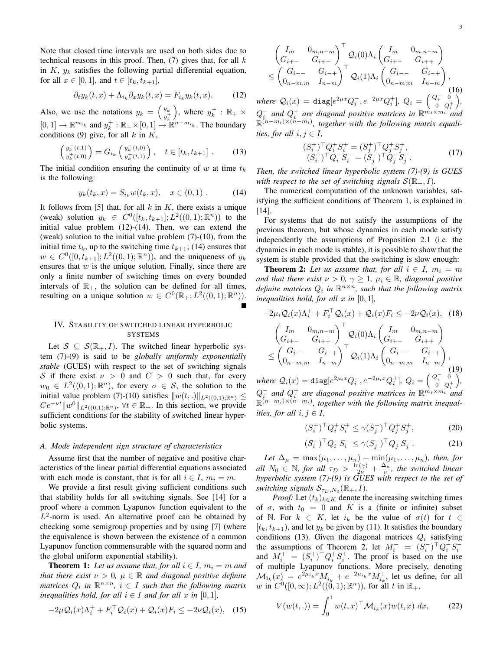Note that closed time intervals are used on both sides due to technical reasons in this proof. Then,  $(7)$  gives that, for all k in  $K$ ,  $y_k$  satisfies the following partial differential equation, for all  $x \in [0, 1]$ , and  $t \in [t_k, t_{k+1}]$ ,

$$
\partial_t y_k(t, x) + \Lambda_{i_k} \partial_x y_k(t, x) = F_{i_k} y_k(t, x). \tag{12}
$$

Also, we use the notations  $y_k = \begin{pmatrix} y_k^- \\ y_k^+ \end{pmatrix}$ ), where  $y_k^-$  :  $\mathbb{R}_+$   $\times$  $[0, 1] \to \mathbb{R}^{m_{i_k}}$  and  $y_k^+ : \mathbb{R}_+ \times [0, 1] \to \mathbb{R}^{n-m_{i_k}}$ . The boundary conditions (9) give, for all  $k$  in  $K$ ,

$$
\begin{pmatrix} y_k^-(t,1) \\ y_k^+(t,0) \end{pmatrix} = G_{i_k} \begin{pmatrix} y_k^-(t,0) \\ y_k^+(t,1) \end{pmatrix}, \quad t \in [t_k, t_{k+1}] . \tag{13}
$$

The initial condition ensuring the continuity of w at time  $t_k$ is the following:

$$
y_k(t_k, x) = S_{i_k} w(t_k, x), \quad x \in (0, 1) .
$$
 (14)

It follows from [5] that, for all  $k$  in  $K$ , there exists a unique (weak) solution  $y_k \in C^0([t_k, t_{k+1}]; L^2((0,1); \mathbb{R}^n))$  to the initial value problem (12)-(14). Then, we can extend the (weak) solution to the initial value problem (7)-(10), from the initial time  $t_k$ , up to the switching time  $t_{k+1}$ ; (14) ensures that  $w \in C^0([0, t_{k+1}]; L^2((0, 1); \mathbb{R}^n))$ , and the uniqueness of  $y_k$ ensures that  $w$  is the unique solution. Finally, since there are only a finite number of switching times on every bounded intervals of  $\mathbb{R}_+$ , the solution can be defined for all times, resulting on a unique solution  $w \in C^0(\mathbb{R}_+; L^2((0,1); \mathbb{R}^n))$ .

# IV. STABILITY OF SWITCHED LINEAR HYPERBOLIC **SYSTEMS**

Let  $S \subseteq S(\mathbb{R}_+, I)$ . The switched linear hyperbolic system (7)-(9) is said to be *globally uniformly exponentially stable* (GUES) with respect to the set of switching signals S if there exist  $\nu > 0$  and  $C > 0$  such that, for every  $w_0 \in L^2((0,1); \mathbb{R}^n)$ , for every  $\sigma \in \mathcal{S}$ , the solution to the initial value problem (7)-(10) satisfies  $||w(t,.)||_{L^2((0,1);\mathbb{R}^n)} \le$  $Ce^{-\nu t} ||w^0||_{L^2((0,1);\mathbb{R}^n)}$ ,  $\forall t \in \mathbb{R}_+$ . In this section, we provide sufficient conditions for the stability of switched linear hyperbolic systems.

# *A. Mode independent sign structure of characteristics*

Assume first that the number of negative and positive characteristics of the linear partial differential equations associated with each mode is constant, that is for all  $i \in I$ ,  $m_i = m$ .

We provide a first result giving sufficient conditions such that stability holds for all switching signals. See [14] for a proof where a common Lyapunov function equivalent to the  $L^2$ -norm is used. An alternative proof can be obtained by checking some semigroup properties and by using [7] (where the equivalence is shown between the existence of a common Lyapunov function commensurable with the squared norm and the global uniform exponential stability).

**Theorem 1:** Let us assume that, for all  $i \in I$ ,  $m_i = m$  and *that there exist*  $\nu > 0$ ,  $\mu \in \mathbb{R}$  *and diagonal positive definite matrices*  $Q_i$  in  $\mathbb{R}^{n \times n}$ ,  $i \in I$  such that the following matrix *inequalities hold, for all*  $i \in I$  *and for all*  $x$  *in* [0, 1]*,* 

$$
-2\mu \mathcal{Q}_i(x)\Lambda_i^+ + F_i^\top \mathcal{Q}_i(x) + \mathcal{Q}_i(x)F_i \le -2\nu \mathcal{Q}_i(x), \quad (15)
$$

$$
\begin{pmatrix} I_m & 0_{m,n-m} \\ G_{i+-} & G_{i++} \end{pmatrix}^\top Q_i(0)\Lambda_i \begin{pmatrix} I_m & 0_{m,n-m} \\ G_{i+-} & G_{i++} \end{pmatrix}
$$
  
\n
$$
\leq \begin{pmatrix} G_{i--} & G_{i-+} \\ 0_{n-m,m} & I_{n-m} \end{pmatrix}^\top Q_i(1)\Lambda_i \begin{pmatrix} G_{i--} & G_{i-+} \\ 0_{n-m,m} & I_{n-m} \end{pmatrix},
$$
  
\n(16)

*where*  $Q_i(x) = \text{diag}[e^{2\mu x} Q_i^-, e^{-2\mu x} Q_i^+], Q_i = \begin{pmatrix} Q_i^- & 0 \ 0 & Q_i^- \end{pmatrix}$  $\begin{pmatrix} Q_i^- & 0 \\ 0 & Q_i^+ \end{pmatrix}$  $Q_i^-$  and  $Q_i^+$  are diagonal positive matrices in  $\mathbb{R}^{m_i \times m_i}$  and R (n−mi)×(n−mi) *, together with the following matrix equalities, for all*  $i, j \in I$ *,* 

$$
(S_i^+)^{\top} Q_i^+ S_i^+ = (S_j^+)^{\top} Q_j^+ S_j^+, (S_i^-)^{\top} Q_i^- S_i^- = (S_j^-)^{\top} Q_j^- S_j^-.
$$
 (17)

*Then, the switched linear hyperbolic system (7)-(9) is GUES with respect to the set of switching signals*  $S(\mathbb{R}_{+}, I)$ *.* 

The numerical computation of the unknown variables, satisfying the sufficient conditions of Theorem 1, is explained in [14].

For systems that do not satisfy the assumptions of the previous theorem, but whose dynamics in each mode satisfy independently the assumptions of Proposition 2.1 (i.e. the dynamics in each mode is stable), it is possible to show that the system is stable provided that the switching is slow enough:

**Theorem 2:** Let us assume that, for all  $i \in I$ ,  $m_i = m$ *and that there exist*  $\nu > 0$ ,  $\gamma \geq 1$ ,  $\mu_i \in \mathbb{R}$ , *diagonal positive* definite matrices  $Q_i$  in  $\mathbb{R}^{n \times n}$ , such that the following matrix *inequalities hold, for all*  $x$  *in*  $[0, 1]$ *,* 

$$
-2\mu_i Q_i(x)\Lambda_i^+ + F_i^{\top} Q_i(x) + Q_i(x)F_i \le -2\nu Q_i(x), \quad (18)
$$

$$
\begin{pmatrix} I_m & 0_{m,n-m} \\ G_{i+-} & G_{i++} \end{pmatrix}^{\top} Q_i(0)\Lambda_i \begin{pmatrix} I_m & 0_{m,n-m} \\ G_{i+-} & G_{i++} \end{pmatrix}
$$

$$
\le \begin{pmatrix} G_{i--} & G_{i-+} \\ 0_{n-m,m} & I_{n-m} \end{pmatrix}^{\top} Q_i(1)\Lambda_i \begin{pmatrix} G_{i--} & G_{i-+} \\ 0_{n-m,m} & I_{n-m} \end{pmatrix},
$$

$$
where \ Q_i(x) = \text{diag}[e^{2\mu_i x} Q_i^-, e^{-2\mu_i x} Q_i^+], \ Q_i = \begin{pmatrix} Q_i^- & 0 \\ 0 & Q_i^+ \end{pmatrix},
$$

$$
Q_i^- \text{ and } Q_i^+ \text{ are diagonal positive matrices in } \mathbb{R}^{m_i \times m_i} \text{ and }
$$

$$
\mathbb{R}^{(n-m_i) \times (n-m_i)}, \text{ together with the following matrix inequalities}
$$

$$
(S_i^+)^{\top} Q_i^+ S_i^+ \le \gamma (S_j^+)^{\top} Q_j^+ S_j^+, \tag{20}
$$

$$
(S_i^-)^{\top} Q_i^- S_i^- \le \gamma (S_j^-)^{\top} Q_j^- S_j^-.
$$
 (21)

*Let*  $\Delta_{\mu} = \max(\mu_1, \ldots, \mu_n) - \min(\mu_1, \ldots, \mu_n)$ *, then, for all*  $N_0 \in \mathbb{N}$ , for all  $\tau_D > \frac{\ln(\gamma)}{2\nu} + \frac{\Delta_\mu}{\nu}$ , the switched linear *hyperbolic system (7)-(9) is GUES with respect to the set of switching signals*  $S_{\tau_D, N_0}(\mathbb{R}_+, I)$ .

*ities, for all*  $i, j \in I$ *,* 

*Proof:* Let  $(t_k)_{k \in K}$  denote the increasing switching times of  $\sigma$ , with  $t_0 = 0$  and K is a (finite or infinite) subset of N. For  $k \in K$ , let  $i_k$  be the value of  $\sigma(t)$  for  $t \in$  $[t_k, t_{k+1})$ , and let  $y_k$  be given by (11). It satisfies the boundary conditions (13). Given the diagonal matrices  $Q_i$  satisfying the assumptions of Theorem 2, let  $M_i^- = (S_i^-)^\top Q_i^- S_i^$ and  $M_i^+ = (S_i^+)^{\top} Q_i^+ S_i^+$ . The proof is based on the use of multiple Lyapunov functions. More precisely, denoting  $\mathcal{M}_{i_k}(x) = e^{2\mu_{i_k}x} M_{i_k}^- + e^{-2\mu_{i_k}x} M_{i_k}^+,$  let us define, for all w in  $C^0([0,\infty); L^2((0,1);\mathbb{R}^n))$ , for all t in  $\mathbb{R}_+$ ,

$$
V(w(t, .)) = \int_0^1 w(t, x)^\top \mathcal{M}_{i_k}(x) w(t, x) \, dx,\tag{22}
$$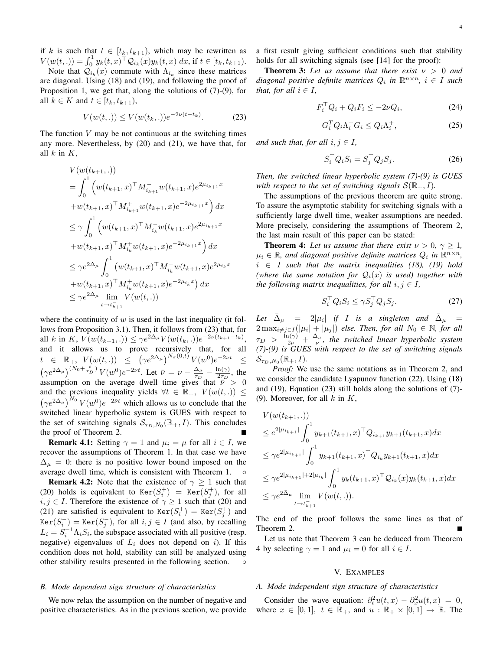if k is such that  $t \in [t_k, t_{k+1})$ , which may be rewritten as  $V(w(t, .)) = \int_0^1 y_k(t, x)^\top Q_{i_k}(x) y_k(t, x) dx$ , if  $t \in [t_k, t_{k+1})$ .

Note that  $\mathcal{Q}_{i_k}(x)$  commute with  $\Lambda_{i_k}$  since these matrices are diagonal. Using (18) and (19), and following the proof of Proposition 1, we get that, along the solutions of (7)-(9), for all  $k \in K$  and  $t \in [t_k, t_{k+1}),$ 

$$
V(w(t,.)) \le V(w(t_k,.))e^{-2\nu(t-t_k)}.
$$
 (23)

The function  $V$  may be not continuous at the switching times any more. Nevertheless, by (20) and (21), we have that, for all  $k$  in  $K$ ,

$$
V(w(t_{k+1}, .))
$$
  
=  $\int_0^1 (w(t_{k+1}, x)^\top M_{i_{k+1}}^- w(t_{k+1}, x) e^{2\mu_{i_{k+1}}x}$   
+  $w(t_{k+1}, x)^\top M_{i_{k+1}}^+ w(t_{k+1}, x) e^{-2\mu_{i_{k+1}}x} dx$   
 $\leq \gamma \int_0^1 (w(t_{k+1}, x)^\top M_{i_k}^- w(t_{k+1}, x) e^{2\mu_{i_{k+1}}x}$   
+  $w(t_{k+1}, x)^\top M_{i_k}^+ w(t_{k+1}, x) e^{-2\mu_{i_{k+1}}x} dx$   
 $\leq \gamma e^{2\Delta_\mu} \int_0^1 (w(t_{k+1}, x)^\top M_{i_k}^- w(t_{k+1}, x) e^{2\mu_{i_k}x}$   
+  $w(t_{k+1}, x)^\top M_{i_k}^+ w(t_{k+1}, x) e^{-2\mu_{i_k}x}) dx$   
 $\leq \gamma e^{2\Delta_\mu} \lim_{t \to t_{k+1}} V(w(t, .))$ 

where the continuity of  $w$  is used in the last inequality (it follows from Proposition 3.1). Then, it follows from (23) that, for all k in K,  $V(w(t_{k+1}, .)) \leq \gamma e^{2\Delta_{\mu}} V(w(t_k, .)) e^{-2\nu(t_{k+1} - t_k)},$ and it allows us to prove recursively that, for all  $t \in \mathbb{R}_+$ ,  $V(w(t, .)) \leq (\gamma e^{2\Delta_{\mu}})^{N_{\sigma}(0, t)} V(w^0) e^{-2\nu t} \leq$  $(\gamma e^{2\Delta_{\mu}})^{(N_0+\frac{t}{\tau_D})}V(w^0)e^{-2\nu t}$ . Let  $\bar{\nu}=\nu-\frac{\Delta_{\mu}}{\tau_D}$  $\frac{\Delta_\mu}{\tau_D} - \frac{\ln(\gamma)}{2\tau_D}$  $\frac{n(\gamma)}{2\tau_D}$ , the assumption on the average dwell time gives that  $\bar{\nu} > 0$ and the previous inequality yields  $\forall t \in \mathbb{R}_+$ ,  $V(w(t, .)) \leq$  $(\gamma e^{2\Delta_{\mu}})^{N_0} V(w^0) e^{-2\bar{\nu}t}$  which allows us to conclude that the switched linear hyperbolic system is GUES with respect to the set of switching signals  $S_{\tau_D, N_0}(\mathbb{R}_+, I)$ . This concludes the proof of Theorem 2.

**Remark 4.1:** Setting  $\gamma = 1$  and  $\mu_i = \mu$  for all  $i \in I$ , we recover the assumptions of Theorem 1. In that case we have  $\Delta_{\mu} = 0$ : there is no positive lower bound imposed on the average dwell time, which is consistent with Theorem 1. ◦

**Remark 4.2:** Note that the existence of  $\gamma \geq 1$  such that (20) holds is equivalent to  $Ker(S_i^+) = Ker(S_j^+)$ , for all  $i, j \in I$ . Therefore the existence of  $\gamma \geq 1$  such that (20) and (21) are satisfied is equivalent to  $Ker(S_i^+) = Ker(S_j^+)$  and  $Ker(S_i^-) = Ker(S_j^-)$ , for all  $i, j \in I$  (and also, by recalling  $L_i = S_i^{-1} \Lambda_i S_i$ , the subspace associated with all positive (resp. negative) eigenvalues of  $L_i$  does not depend on i). If this condition does not hold, stability can still be analyzed using other stability results presented in the following section. ◦

# *B. Mode dependent sign structure of characteristics*

We now relax the assumption on the number of negative and positive characteristics. As in the previous section, we provide a first result giving sufficient conditions such that stability holds for all switching signals (see [14] for the proof):

**Theorem 3:** Let us assume that there exist  $\nu > 0$  and  $diagonal$  positive definite matrices  $Q_i$  in  $\mathbb{R}^{n \times n}$ ,  $i \in I$  such *that, for all*  $i \in I$ *,* 

$$
F_i^{\top} Q_i + Q_i F_i \le -2\nu Q_i,\tag{24}
$$

$$
G_i^T Q_i \Lambda_i^+ G_i \le Q_i \Lambda_i^+, \tag{25}
$$

*and such that, for all*  $i, j \in I$ *,* 

$$
S_i^{\top} Q_i S_i = S_j^{\top} Q_j S_j. \tag{26}
$$

*Then, the switched linear hyperbolic system (7)-(9) is GUES with respect to the set of switching signals*  $S(\mathbb{R}_+, I)$ *.* 

The assumptions of the previous theorem are quite strong. To assure the asymptotic stability for switching signals with a sufficiently large dwell time, weaker assumptions are needed. More precisely, considering the assumptions of Theorem 2, the last main result of this paper can be stated:

**Theorem 4:** Let us assume that there exist  $\nu > 0$ ,  $\gamma \geq 1$ ,  $\mu_i \in \mathbb{R}$ , and diagonal positive definite matrices  $Q_i$  in  $\mathbb{R}^{n \times n}$ ,  $i \in I$  *such that the matrix inequalities (18), (19) hold (where the same notation for*  $Q_i(x)$  *is used) together with the following matrix inequalities, for all*  $i, j \in I$ ,

$$
S_i^{\top} Q_i S_i \le \gamma S_j^{\top} Q_j S_j. \tag{27}
$$

Let  $\bar{\Delta}_{\mu}$  = 2| $\mu_i$ | *if I is a singleton and*  $\bar{\Delta}_{\mu}$  =  $2 \max_{i \neq j \in I} (|\mu_i| + |\mu_j|)$  else. Then, for all  $N_0 \in \mathbb{N}$ , for all  $\tau_D > \frac{\ln(\gamma)}{2\nu} + \frac{\bar{\Delta}_{\mu}}{\nu}$ , the switched linear hyperbolic system *(7)-(9) is GUES with respect to the set of switching signals*  $\mathcal{S}_{\tau_D, N_0}(\mathbb{R}_+, I).$ 

*Proof:* We use the same notations as in Theorem 2, and we consider the candidate Lyapunov function (22). Using (18) and (19), Equation (23) still holds along the solutions of (7)- (9). Moreover, for all  $k$  in  $K$ ,

$$
V(w(t_{k+1}, .))
$$
  
\n
$$
\leq e^{2|\mu_{i_{k+1}}|} \int_0^1 y_{k+1}(t_{k+1}, x)^\top Q_{i_{k+1}} y_{k+1}(t_{k+1}, x) dx
$$
  
\n
$$
\leq \gamma e^{2|\mu_{i_{k+1}}|} \int_0^1 y_{k+1}(t_{k+1}, x)^\top Q_{i_k} y_{k+1}(t_{k+1}, x) dx
$$
  
\n
$$
\leq \gamma e^{2|\mu_{i_{k+1}}|+2|\mu_{i_k}|} \int_0^1 y_k(t_{k+1}, x)^\top Q_{i_k}(x) y_k(t_{k+1}, x) dx
$$
  
\n
$$
\leq \gamma e^{2\bar{\Delta}_{\mu}} \lim_{t \to t_{k+1}^-} V(w(t, .)).
$$

The end of the proof follows the same lines as that of Theorem 2.

Let us note that Theorem 3 can be deduced from Theorem 4 by selecting  $\gamma = 1$  and  $\mu_i = 0$  for all  $i \in I$ .

# V. EXAMPLES

### *A. Mode independent sign structure of characteristics*

Consider the wave equation:  $\partial_t^2 u(t,x) - \partial_x^2 u(t,x) = 0$ , where  $x \in [0, 1]$ ,  $t \in \mathbb{R}_+$ , and  $u : \mathbb{R}_+ \times [0, 1] \to \mathbb{R}$ . The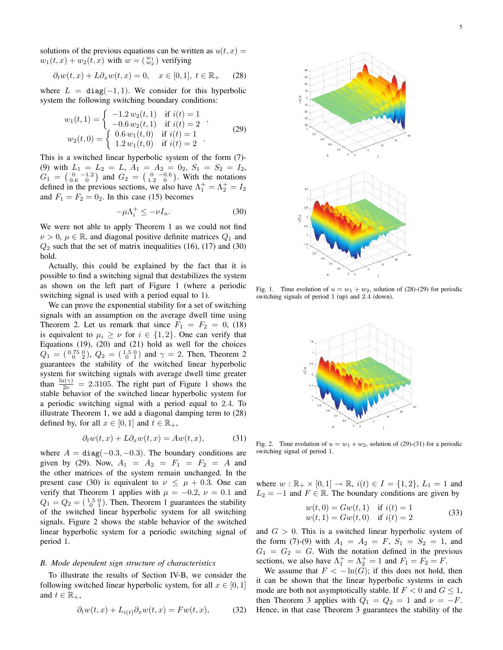solutions of the previous equations can be written as  $u(t, x) =$  $w_1(t,x) + w_2(t,x)$  with  $w = \begin{pmatrix} w_1 \\ w_2 \end{pmatrix}$  verifying

$$
\partial_t w(t, x) + L \partial_x w(t, x) = 0, \quad x \in [0, 1], \ t \in \mathbb{R}_+ \tag{28}
$$

where  $L = diag(-1, 1)$ . We consider for this hyperbolic system the following switching boundary conditions:

$$
w_1(t,1) = \begin{cases} -1.2 \, w_2(t,1) & \text{if } i(t) = 1 \\ -0.6 \, w_2(t,1) & \text{if } i(t) = 2 \\ w_2(t,0) = \begin{cases} 0.6 \, w_1(t,0) & \text{if } i(t) = 1 \\ 1.2 \, w_1(t,0) & \text{if } i(t) = 2 \end{cases} \end{cases} \tag{29}
$$

This is a switched linear hyperbolic system of the form (7)- (9) with  $L_1 = L_2 = L$ ,  $A_1 = A_2 = 0_2$ ,  $S_1 = S_2 = I_2$ ,  $G_1 = \begin{pmatrix} 0 & -1.2 \\ 0.6 & 0 \end{pmatrix}$  and  $G_2 = \begin{pmatrix} 0 & -0.6 \\ 1.2 & 0 \end{pmatrix}$ . With the notations defined in the previous sections, we also have  $\Lambda_1^+ = \Lambda_2^+ = I_2$ and  $F_1 = F_2 = 0_2$ . In this case (15) becomes

$$
-\mu \Lambda_i^+ \le -\nu I_n. \tag{30}
$$

We were not able to apply Theorem 1 as we could not find  $\nu > 0$ ,  $\mu \in \mathbb{R}$ , and diagonal positive definite matrices  $Q_1$  and  $Q_2$  such that the set of matrix inequalities (16), (17) and (30) hold.

Actually, this could be explained by the fact that it is possible to find a switching signal that destabilizes the system as shown on the left part of Figure 1 (where a periodic switching signal is used with a period equal to 1).

We can prove the exponential stability for a set of switching signals with an assumption on the average dwell time using Theorem 2. Let us remark that since  $F_1 = F_2 = 0$ , (18) is equivalent to  $\mu_i \geq \nu$  for  $i \in \{1,2\}$ . One can verify that Equations  $(19)$ ,  $(20)$  and  $(21)$  hold as well for the choices  $Q_1 = \begin{pmatrix} 0.75 & 0 \\ 0 & 2 \end{pmatrix}$ ,  $Q_2 = \begin{pmatrix} 1.5 & 0 \\ 0 & 1 \end{pmatrix}$  and  $\gamma = 2$ . Then, Theorem 2 guarantees the stability of the switched linear hyperbolic system for switching signals with average dwell time greater than  $\frac{\ln(\gamma)}{2\nu} = 2.3105$ . The right part of Figure 1 shows the stable behavior of the switched linear hyperbolic system for a periodic switching signal with a period equal to 2.4. To illustrate Theorem 1, we add a diagonal damping term to (28) defined by, for all  $x \in [0, 1]$  and  $t \in \mathbb{R}_+$ ,

$$
\partial_t w(t, x) + L \partial_x w(t, x) = Aw(t, x), \tag{31}
$$

where  $A = diag(-0.3, -0.3)$ . The boundary conditions are given by (29). Now,  $A_1 = A_2 = F_1 = F_2 = A$  and the other matrices of the system remain unchanged. In the present case (30) is equivalent to  $\nu \leq \mu + 0.3$ . One can verify that Theorem 1 applies with  $\mu = -0.2$ ,  $\nu = 0.1$  and  $Q_1 = Q_2 = \begin{pmatrix} 1.5 & 0 \\ 0 & 1 \end{pmatrix}$ . Then, Theorem 1 guarantees the stability of the switched linear hyperbolic system for all switching signals. Figure 2 shows the stable behavior of the switched linear hyperbolic system for a periodic switching signal of period 1.

# *B. Mode dependent sign structure of characteristics*

To illustrate the results of Section IV-B, we consider the following switched linear hyperbolic system, for all  $x \in [0, 1]$ and  $t \in \mathbb{R}_+,$ 

$$
\partial_t w(t, x) + L_{i(t)} \partial_x w(t, x) = F w(t, x), \tag{32}
$$



Fig. 1. Time evolution of  $u = w_1 + w_2$ , solution of (28)-(29) for periodic switching signals of period 1 (up) and 2.4 (down).



Fig. 2. Time evolution of  $u = w_1 + w_2$ , solution of (29)-(31) for a periodic switching signal of period 1.

where  $w : \mathbb{R}_+ \times [0,1] \to \mathbb{R}$ ,  $i(t) \in I = \{1,2\}$ ,  $L_1 = 1$  and  $L_2 = -1$  and  $F \in \mathbb{R}$ . The boundary conditions are given by

$$
w(t, 0) = Gw(t, 1) \text{ if } i(t) = 1w(t, 1) = Gw(t, 0) \text{ if } i(t) = 2
$$
\n(33)

and  $G > 0$ . This is a switched linear hyperbolic system of the form (7)-(9) with  $A_1 = A_2 = F$ ,  $S_1 = S_2 = 1$ , and  $G_1 = G_2 = G$ . With the notation defined in the previous sections, we also have  $\Lambda_1^+ = \Lambda_2^+ = 1$  and  $F_1 = F_2 = F$ .

We assume that  $F < -\ln(G)$ ; if this does not hold, then it can be shown that the linear hyperbolic systems in each mode are both not asymptotically stable. If  $F < 0$  and  $G \le 1$ , then Theorem 3 applies with  $Q_1 = Q_2 = 1$  and  $\nu = -F$ . Hence, in that case Theorem 3 guarantees the stability of the